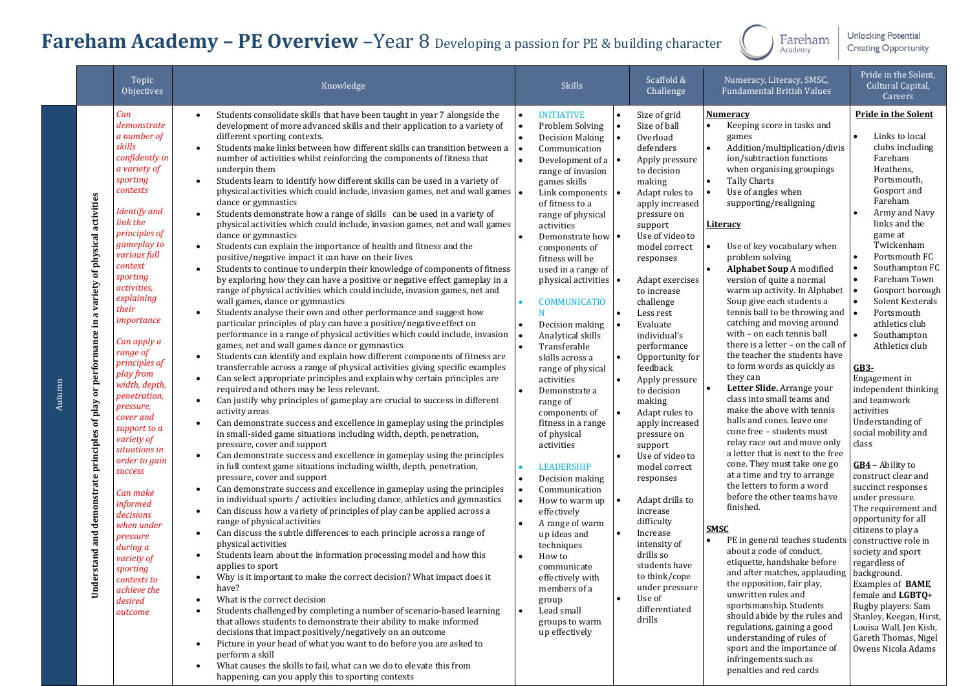## **Fareham Academy – PE Overview** –Year 8 Developing a passion for PE & building character

Fareham<br>Academy

**Unlocking Potential Creating Opportunity** 

|        |                                                                                                                                            | Topic<br><b>Objectives</b>                                                                                                                                                                                                                                                                                                                                                                                                                                                                                                                                                                                           | Knowledge                                                                                                                                                                                                                                                                                                                                                                                                                                                                                                                                                                                                                                                                                                                                                                                                                                                                                                                                                                                                                                                                                                                                                                                                                                                                                                                                                                                                                                                                                                                                                                                                                                                                                                                                                                                                                                                                                                                                                                                                                                                                                                                                                                                                                                                                                                                                                                                                                                                                                                                                                                                                                                                                                                                                                                                                                                                                                                                                                                                                                                                                                                                                                                                                                                                                                                                                                                                                    | <b>Skills</b>                                                                                                                                                                                                                                                                                                                                                                                                                                                                                                                                                                                                                                                                                                                                                                                                                                                                     | Scaffold &<br>Challenge                                                                                                                                                                                                                                                                                                                                                                                                                                                                                                                                                                                                                                                                                                     | Numeracy, Literacy, SMSC,<br><b>Fundamental British Values</b>                                                                                                                                                                                                                                                                                                                                                                                                                                                                                                                                                                                                                                                                                                                                                                                                                                                                                                                                                                                                                                                                                                                                                                                                                                                                                                                                                                             | Pride in the Solent,<br>Cultural Capital,<br>Careers                                                                                                                                                                                                                                                                                                                                                                                                                                                                                                                                                                                                                                                                                                                                                                                                                                   |
|--------|--------------------------------------------------------------------------------------------------------------------------------------------|----------------------------------------------------------------------------------------------------------------------------------------------------------------------------------------------------------------------------------------------------------------------------------------------------------------------------------------------------------------------------------------------------------------------------------------------------------------------------------------------------------------------------------------------------------------------------------------------------------------------|--------------------------------------------------------------------------------------------------------------------------------------------------------------------------------------------------------------------------------------------------------------------------------------------------------------------------------------------------------------------------------------------------------------------------------------------------------------------------------------------------------------------------------------------------------------------------------------------------------------------------------------------------------------------------------------------------------------------------------------------------------------------------------------------------------------------------------------------------------------------------------------------------------------------------------------------------------------------------------------------------------------------------------------------------------------------------------------------------------------------------------------------------------------------------------------------------------------------------------------------------------------------------------------------------------------------------------------------------------------------------------------------------------------------------------------------------------------------------------------------------------------------------------------------------------------------------------------------------------------------------------------------------------------------------------------------------------------------------------------------------------------------------------------------------------------------------------------------------------------------------------------------------------------------------------------------------------------------------------------------------------------------------------------------------------------------------------------------------------------------------------------------------------------------------------------------------------------------------------------------------------------------------------------------------------------------------------------------------------------------------------------------------------------------------------------------------------------------------------------------------------------------------------------------------------------------------------------------------------------------------------------------------------------------------------------------------------------------------------------------------------------------------------------------------------------------------------------------------------------------------------------------------------------------------------------------------------------------------------------------------------------------------------------------------------------------------------------------------------------------------------------------------------------------------------------------------------------------------------------------------------------------------------------------------------------------------------------------------------------------------------------------------------------|-----------------------------------------------------------------------------------------------------------------------------------------------------------------------------------------------------------------------------------------------------------------------------------------------------------------------------------------------------------------------------------------------------------------------------------------------------------------------------------------------------------------------------------------------------------------------------------------------------------------------------------------------------------------------------------------------------------------------------------------------------------------------------------------------------------------------------------------------------------------------------------|-----------------------------------------------------------------------------------------------------------------------------------------------------------------------------------------------------------------------------------------------------------------------------------------------------------------------------------------------------------------------------------------------------------------------------------------------------------------------------------------------------------------------------------------------------------------------------------------------------------------------------------------------------------------------------------------------------------------------------|--------------------------------------------------------------------------------------------------------------------------------------------------------------------------------------------------------------------------------------------------------------------------------------------------------------------------------------------------------------------------------------------------------------------------------------------------------------------------------------------------------------------------------------------------------------------------------------------------------------------------------------------------------------------------------------------------------------------------------------------------------------------------------------------------------------------------------------------------------------------------------------------------------------------------------------------------------------------------------------------------------------------------------------------------------------------------------------------------------------------------------------------------------------------------------------------------------------------------------------------------------------------------------------------------------------------------------------------------------------------------------------------------------------------------------------------|----------------------------------------------------------------------------------------------------------------------------------------------------------------------------------------------------------------------------------------------------------------------------------------------------------------------------------------------------------------------------------------------------------------------------------------------------------------------------------------------------------------------------------------------------------------------------------------------------------------------------------------------------------------------------------------------------------------------------------------------------------------------------------------------------------------------------------------------------------------------------------------|
| Autumn | activities<br>physical<br>ಕ<br>variety<br>performance in a<br>$\overline{5}$<br>of play<br>principles<br>demonstrate<br>erstand and<br>Und | Can<br>demonstrate<br>a number of<br>skills<br>confidently in<br>a variety of<br>sporting<br>contexts<br>Identify and<br>link the<br>principles of<br>gameplay to<br>various full<br>context<br>sporting<br>activities,<br>explaining<br>their<br>importance<br>Can apply a<br>range of<br>principles of<br>play from<br>width, depth,<br>penetration,<br>pressure,<br>cover and<br>support to a<br>variety of<br>situations in<br>order to gain<br>success<br>Can make<br>informed<br>decisions<br>when under<br>pressure<br>during a<br>variety of<br>sporting<br>contexts to<br>achieve the<br>desired<br>outcome | Students consolidate skills that have been taught in year 7 alongside the<br>$\bullet$<br>development of more advanced skills and their application to a variety of<br>different sporting contexts.<br>Students make links between how different skills can transition between a<br>$\bullet$<br>number of activities whilst reinforcing the components of fitness that<br>underpin them<br>Students learn to identify how different skills can be used in a variety of<br>$\bullet$<br>physical activities which could include, invasion games, net and wall games<br>dance or gymnastics<br>Students demonstrate how a range of skills can be used in a variety of<br>$\bullet$<br>physical activities which could include, invasion games, net and wall games<br>dance or gymnastics<br>Students can explain the importance of health and fitness and the<br>$\bullet$<br>positive/negative impact it can have on their lives<br>Students to continue to underpin their knowledge of components of fitness<br>$\bullet$<br>by exploring how they can have a positive or negative effect gameplay in a<br>range of physical activities which could include, invasion games, net and<br>wall games, dance or gymnastics<br>Students analyse their own and other performance and suggest how<br>$\bullet$<br>particular principles of play can have a positive/negative effect on<br>performance in a range of physical activities which could include, invasion<br>games, net and wall games dance or gymnastics<br>Students can identify and explain how different components of fitness are<br>$\bullet$<br>transferrable across a range of physical activities giving specific examples<br>Can select appropriate principles and explain why certain principles are<br>$\bullet$<br>required and others may be less relevant.<br>Can justify why principles of gameplay are crucial to success in different<br>$\bullet$<br>activity areas<br>Can demonstrate success and excellence in gameplay using the principles<br>in small-sided game situations including width, depth, penetration,<br>pressure, cover and support<br>Can demonstrate success and excellence in gameplay using the principles<br>$\bullet$<br>in full context game situations including width, depth, penetration,<br>pressure, cover and support<br>Can demonstrate success and excellence in gameplay using the principles<br>$\bullet$<br>in individual sports / activities including dance, athletics and gymnastics<br>Can discuss how a variety of principles of play can be applied across a<br>$\bullet$<br>range of physical activities<br>Can discuss the subtle differences to each principle across a range of<br>$\bullet$<br>physical activities<br>Students learn about the information processing model and how this<br>applies to sport<br>Why is it important to make the correct decision? What impact does it<br>have?<br>What is the correct decision<br>Students challenged by completing a number of scenario-based learning<br>that allows students to demonstrate their ability to make informed<br>decisions that impact positively/negatively on an outcome<br>Picture in your head of what you want to do before you are asked to<br>٠<br>perform a skill<br>What causes the skills to fail, what can we do to elevate this from<br>$\bullet$<br>happening, can you apply this to sporting contexts | <b>INITIATIVE</b><br>Problem Solving<br>Decision Making<br>Communication<br>Development of a $\vert \bullet \vert$<br>range of invasion<br>games skills<br>Link components<br>of fitness to a<br>range of physical<br>activities<br>Demonstrate how $\cdot$<br>components of<br>fitness will be<br>used in a range of<br>physical activities •<br><b>COMMUNICATIO</b><br>Decision making<br>Analytical skills<br>Transferable<br>skills across a<br>range of physical<br>activities<br>Demonstrate a<br>range of<br>components of<br>fitness in a range<br>of physical<br>activities<br><b>LEADERSHIP</b><br>Decision making<br>Communication<br>$\bullet$<br>How to warm up<br>effectively<br>A range of warm<br>up ideas and<br>techniques<br>How to<br>communicate<br>effectively with<br>members of a<br>group<br>$\bullet$<br>Lead small<br>groups to warm<br>up effectively | Size of grid<br>$\bullet$<br>Size of ball<br>Overload<br>defenders<br>Apply pressure<br>to decision<br>making<br>Adapt rules to<br>apply increased<br>pressure on<br>support<br>Use of video to<br>model correct<br>responses<br>Adapt exercises<br>to increase<br>challenge<br>Less rest<br>Evaluate<br>individual's<br>performance<br>Opportunity for<br>feedback<br>Apply pressure<br>to decision<br>making<br>Adapt rules to<br>apply increased<br>pressure on<br>support<br>Use of video to<br>model correct<br>responses<br>Adapt drills to<br>increase<br>difficulty<br>Increase<br>intensity of<br>drills so<br>students have<br>to think/cope<br>under pressure<br>$\bullet$<br>Use of<br>differentiated<br>drills | <b>Numeracy</b><br>Keeping score in tasks and<br>games<br>Addition/multiplication/divis<br>ion/subtraction functions<br>when organising groupings<br><b>Tally Charts</b><br>Use of angles when<br>supporting/realigning<br><u>Literacy</u><br>Use of key vocabulary when<br>problem solving<br>Alphabet Soup A modified<br>version of quite a normal<br>warm up activity. In Alphabet<br>Soup give each students a<br>tennis ball to be throwing and $\vert$ .<br>catching and moving around<br>with - on each tennis ball<br>there is a letter - on the call of<br>the teacher the students have<br>to form words as quickly as<br>they can<br>Letter Slide. Arrange your<br>class into small teams and<br>make the above with tennis<br>balls and cones. leave one<br>cone free - students must<br>relay race out and move only<br>a letter that is next to the free<br>cone. They must take one go<br>at a time and try to arrange<br>the letters to form a word<br>before the other teams have<br>finished.<br><b>SMSC</b><br>PE in general teaches students<br>about a code of conduct,<br>etiquette, handshake before<br>and after matches, applauding   background.<br>the opposition, fair play,<br>unwritten rules and<br>sportsmanship. Students<br>should abide by the rules and<br>regulations, gaining a good<br>understanding of rules of<br>sport and the importance of<br>infringements such as<br>penalties and red cards | <b>Pride in the Solent</b><br>Links to local<br>clubs including<br>Fareham<br>Heathens,<br>Portsmouth,<br>Gosport and<br>Fareham<br>Army and Navy<br>links and the<br>game at<br>Twickenham<br>Portsmouth FC<br>Southampton FC<br>Fareham Town<br>Gosport borough<br>Solent Kesterals<br>Portsmouth<br>athletics club<br>Southampton<br>Athletics club<br>$GB3-$<br>Engagement in<br>independent thinking<br>and teamwork<br>activities<br>Understanding of<br>social mobility and<br>class<br>$GB4$ – Ability to<br>construct clear and<br>succinct responses<br>under pressure.<br>The requirement and<br>opportunity for all<br>citizens to play a<br>constructive role in<br>society and sport<br>regardless of<br>Examples of BAME,<br>female and LGBTQ+<br>Rugby players: Sam<br>Stanley, Keegan, Hirst,<br>Louisa Wall, Jen Kish,<br>Gareth Thomas, Nigel<br>Owens Nicola Adams |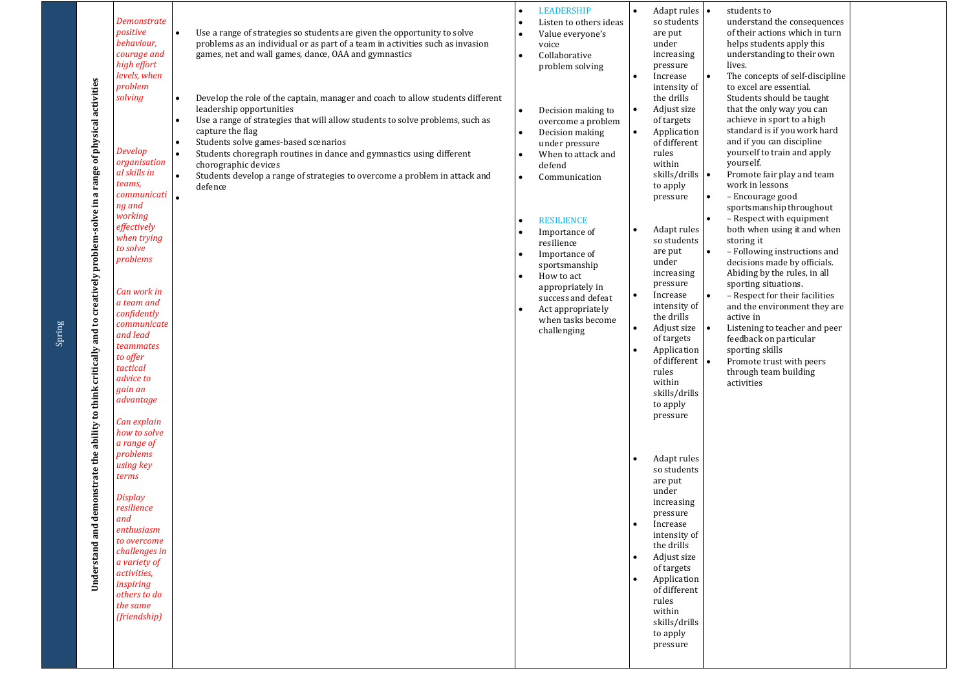| Understand and demonstrate the ability to think critically and to creatively problem-solve in a range of physical activities | Demonstrate<br>positive<br>behaviour,<br>courage and<br>high effort<br>levels, when<br>problem<br>solving<br>Develop<br>organisation<br>al skills in<br>teams,<br>communicati<br>ng and<br>working<br>effectively<br>when trying<br>to solve<br>problems<br>Can work in<br>a team and<br>confidently<br>communicate<br>and lead<br>teammates<br>to offer<br>tactical<br>advice to<br>gain an<br>advantage | Use a range of strategies so students are given the opportunity to solve<br>problems as an individual or as part of a team in activities such as invasion<br>games, net and wall games, dance, OAA and gymnastics<br>Develop the role of the captain, manager and coach to allow students different<br>leadership opportunities<br>Use a range of strategies that will allow students to solve problems, such as<br>capture the flag<br>Students solve games-based scenarios<br>Students choregraph routines in dance and gymnastics using different<br>chorographic devices<br>Students develop a range of strategies to overcome a problem in attack and<br>defence<br>$\bullet$ | <b>LEADERSHIP</b><br>Listen to others ideas<br>Value everyone's<br>voice<br>Collaborative<br>problem solving<br>Decision making to<br>overcome a problem<br>Decision making<br>$\bullet$<br>under pressure<br>When to attack and<br>defend<br>Communication<br><b>RESILIENCE</b><br>Importance of<br>resilience<br>Importance of<br>sportsmanship<br>How to act<br>appropriately in<br>success and defeat<br>Act appropriately<br>when tasks become<br>challenging | $\bullet$<br>$\bullet$<br>$\bullet$<br>$\bullet$<br>٠ | Adapt rules   •<br>so students<br>are put<br>under<br>increasing<br>pressure<br>Increase<br>intensity of<br>the drills<br>Adjust size<br>of targets<br>Application<br>of different<br>rules<br>within<br>skills/drills   •<br>to apply<br>pressure<br>Adapt rules<br>so students<br>are put<br>under<br>increasing<br>pressure<br>Increase<br>intensity of<br>the drills<br>Adjust size<br>of targets<br>Application<br>of different $\vert \bullet \vert$<br>rules<br>within<br>skills/drills<br>to apply | I۰ | students to<br>understand the consequences<br>of their actions which in turn<br>helps students apply this<br>understanding to their own<br>lives.<br>The concepts of self-discipline<br>to excel are essential.<br>Students should be taught<br>that the only way you can<br>achieve in sport to a high<br>standard is if you work hard<br>and if you can discipline<br>yourself to train and apply<br>yourself.<br>Promote fair play and team<br>work in lessons<br>- Encourage good<br>sportsmanship throughout<br>- Respect with equipment<br>both when using it and when<br>storing it<br>- Following instructions and<br>decisions made by officials.<br>Abiding by the rules, in all<br>sporting situations.<br>- Respect for their facilities<br>and the environment they are<br>active in<br>Listening to teacher and peer<br>feedback on particular<br>sporting skills<br>Promote trust with peers<br>through team building<br>activities |  |
|------------------------------------------------------------------------------------------------------------------------------|-----------------------------------------------------------------------------------------------------------------------------------------------------------------------------------------------------------------------------------------------------------------------------------------------------------------------------------------------------------------------------------------------------------|------------------------------------------------------------------------------------------------------------------------------------------------------------------------------------------------------------------------------------------------------------------------------------------------------------------------------------------------------------------------------------------------------------------------------------------------------------------------------------------------------------------------------------------------------------------------------------------------------------------------------------------------------------------------------------|--------------------------------------------------------------------------------------------------------------------------------------------------------------------------------------------------------------------------------------------------------------------------------------------------------------------------------------------------------------------------------------------------------------------------------------------------------------------|-------------------------------------------------------|------------------------------------------------------------------------------------------------------------------------------------------------------------------------------------------------------------------------------------------------------------------------------------------------------------------------------------------------------------------------------------------------------------------------------------------------------------------------------------------------------------|----|----------------------------------------------------------------------------------------------------------------------------------------------------------------------------------------------------------------------------------------------------------------------------------------------------------------------------------------------------------------------------------------------------------------------------------------------------------------------------------------------------------------------------------------------------------------------------------------------------------------------------------------------------------------------------------------------------------------------------------------------------------------------------------------------------------------------------------------------------------------------------------------------------------------------------------------------------|--|
|                                                                                                                              | Can explain<br>how to solve<br>a range of<br>problems<br>using key<br>terms<br>Display<br>resilience<br>and<br>enthusiasm<br>to overcome<br>challenges in<br>a variety of<br>activities,<br>inspiring<br>others to do<br>the same<br>(friendship)                                                                                                                                                         |                                                                                                                                                                                                                                                                                                                                                                                                                                                                                                                                                                                                                                                                                    |                                                                                                                                                                                                                                                                                                                                                                                                                                                                    | $\bullet$                                             | pressure<br>Adapt rules<br>so students<br>are put<br>under<br>increasing<br>pressure<br>Increase<br>intensity of<br>the drills<br>Adjust size<br>of targets<br>Application<br>of different<br>rules<br>within<br>skills/drills<br>to apply<br>pressure                                                                                                                                                                                                                                                     |    |                                                                                                                                                                                                                                                                                                                                                                                                                                                                                                                                                                                                                                                                                                                                                                                                                                                                                                                                                    |  |

Spring